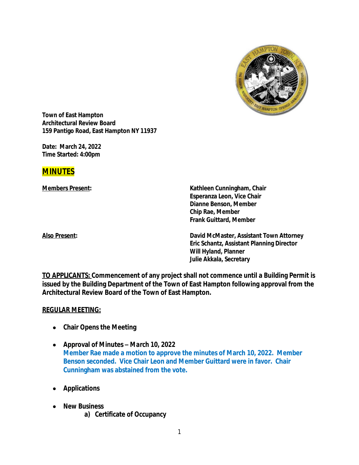

**Town of East Hampton Architectural Review Board 159 Pantigo Road, East Hampton NY 11937**

**Date: March 24, 2022 Time Started: 4:00pm**

## **MINUTES**

**Members Present: Kathleen Cunningham, Chair Esperanza Leon, Vice Chair Dianne Benson, Member Chip Rae, Member Frank Guittard, Member**

**Also Present: David McMaster, Assistant Town Attorney Eric Schantz, Assistant Planning Director Will Hyland, Planner Julie Akkala, Secretary**

**TO APPLICANTS: Commencement of any project shall not commence until a Building Permit is issued by the Building Department of the Town of East Hampton following approval from the Architectural Review Board of the Town of East Hampton.**

## **REGULAR MEETING:**

- **Chair Opens the Meeting**
- **Approval of Minutes –** *March 10, 2022* **Member Rae made a motion to approve the minutes of March 10, 2022. Member Benson seconded. Vice Chair Leon and Member Guittard were in favor. Chair Cunningham was abstained from the vote.**
- **Applications**
- **New Business a) Certificate of Occupancy**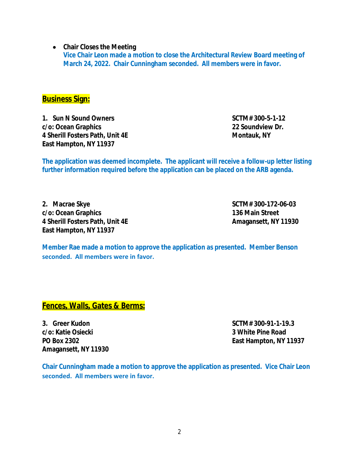**Chair Closes the Meeting**

**Vice Chair Leon made a motion to close the Architectural Review Board meeting of March 24, 2022. Chair Cunningham seconded. All members were in favor.**

**Business Sign:**

**1. Sun N Sound Owners SCTM# 300-5-1-12 c/o: Ocean Graphics 22 Soundview Dr. 4 Sherill Fosters Path, Unit 4E Montauk, NY East Hampton, NY 11937**

**The application was deemed incomplete. The applicant will receive a follow-up letter listing further information required before the application can be placed on the ARB agenda.**

**2. Macrae Skye SCTM# 300-172-06-03 c/o: Ocean Graphics 136 Main Street 4 Sherill Fosters Path, Unit 4E Amagansett, NY 11930 East Hampton, NY 11937** 

**Member Rae made a motion to approve the application as presented. Member Benson seconded. All members were in favor.**

**Fences, Walls, Gates & Berms:**

**3. Greer Kudon SCTM# 300-91-1-19.3 c/o: Katie Osiecki 3 White Pine Road Amagansett, NY 11930**

**PO Box 2302 East Hampton, NY 11937**

**Chair Cunningham made a motion to approve the application as presented. Vice Chair Leon seconded. All members were in favor.**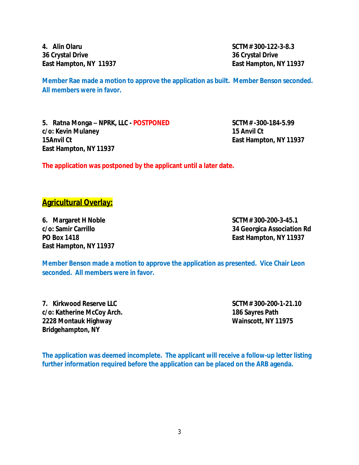**4. Alin Olaru SCTM# 300-122-3-8.3 36 Crystal Drive 36 Crystal Drive East Hampton, NY 11937 East Hampton, NY 11937**

**Member Rae made a motion to approve the application as built. Member Benson seconded. All members were in favor.**

**5. Ratna Monga – NPRK, LLC - POSTPONED SCTM# -300-184-5.99 c/o: Kevin Mulaney 15 Anvil Ct 15Anvil Ct East Hampton, NY 11937 East Hampton, NY 11937**

**The application was postponed by the applicant until a later date.**

## **Agricultural Overlay:**

**6. Margaret H Noble SCTM# 300-200-3-45.1 East Hampton, NY 11937**

**c/o: Samir Carrillo 34 Georgica Association Rd PO Box 1418 East Hampton, NY 11937**

**Member Benson made a motion to approve the application as presented. Vice Chair Leon seconded. All members were in favor.**

**7. Kirkwood Reserve LLC SCTM# 300-200-1-21.10 c/o: Katherine McCoy Arch. 186 Sayres Path 2228 Montauk Highway Wainscott, NY 11975 Bridgehampton, NY**

**The application was deemed incomplete. The applicant will receive a follow-up letter listing further information required before the application can be placed on the ARB agenda.**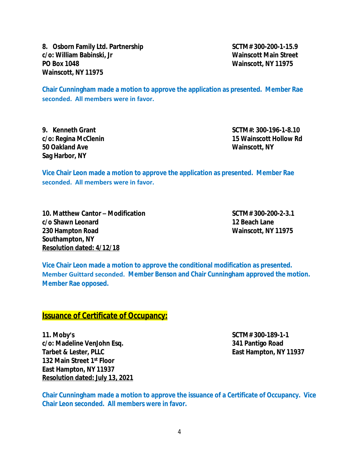8. Osborn Family Ltd. Partnership **SCTM# 300-200-1-15.9 c/o: William Babinski, Jr Wainscott Main Street PO Box 1048 Wainscott, NY 11975 Wainscott, NY 11975**

**Chair Cunningham made a motion to approve the application as presented. Member Rae seconded. All members were in favor.**

**50 Oakland Ave Wainscott, NY Sag Harbor, NY**

**9. Kenneth Grant SCTM#: 300-196-1-8.10 c/o: Regina McClenin 15 Wainscott Hollow Rd**

**Vice Chair Leon made a motion to approve the application as presented. Member Rae seconded. All members were in favor.**

**10. Matthew Cantor – Modification SCTM# 300-200-2-3.1 c/o Shawn Leonard 12 Beach Lane 230 Hampton Road Wainscott, NY 11975 Southampton, NY Resolution dated: 4/12/18**

**Vice Chair Leon made a motion to approve the conditional modification as presented. Member Guittard seconded. Member Benson and Chair Cunningham approved the motion. Member Rae opposed.**

## **Issuance of Certificate of Occupancy:**

**11. Moby's SCTM# 300-189-1-1 c/o: Madeline VenJohn Esq. 341 Pantigo Road Tarbet & Lester, PLLC East Hampton, NY 11937 132 Main Street 1st Floor East Hampton, NY 11937 Resolution dated: July 13, 2021**

**Chair Cunningham made a motion to approve the issuance of a Certificate of Occupancy. Vice Chair Leon seconded. All members were in favor.**